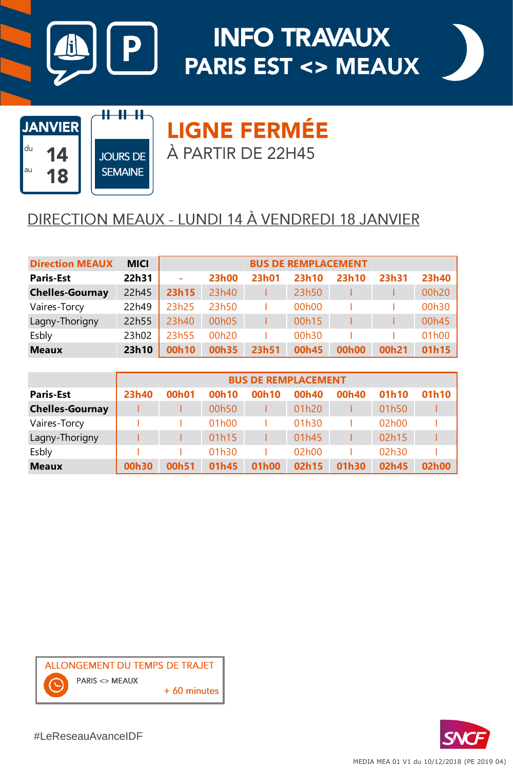

# **INFO TRAVAUX PARIS EST <> MEAUX**





**JOURS DE SEMAINE** 

<del>11 11 11</del>

**LIGNE FERMÉE** À PARTIR DE 22H45

### DIRECTION MEAUX - LUNDI 14 À VENDREDI 18 JANVIER

| <b>Direction MEAUX</b> | <b>MICI</b> | <b>BUS DE REMPLACEMENT</b> |              |              |       |                    |       |       |
|------------------------|-------------|----------------------------|--------------|--------------|-------|--------------------|-------|-------|
| <b>Paris-Est</b>       | 22h31       | ۰                          | <b>23h00</b> | <b>23h01</b> | 23h10 | 23h10              | 23h31 | 23h40 |
| <b>Chelles-Gournay</b> | 22h45       | 23h15                      | 23h40        |              | 23h50 |                    |       | 00h20 |
| Vaires-Torcy           | 22h49       | 23h25                      | 23h50        |              | 00h00 |                    |       | 00h30 |
| Lagny-Thorigny         | 22h55       | 23h40                      | 00h05        |              | 00h15 |                    |       | 00h45 |
| Esbly                  | 23h02       | 23h55                      | 00h20        |              | 00h30 |                    |       | 01h00 |
| <b>Meaux</b>           | 23h10       | 00h10                      | 00h35        | 23h51        | 00h45 | 00 <sub>h</sub> 00 | 00h21 | 01h15 |

|                        | <b>BUS DE REMPLACEMENT</b> |       |       |       |       |       |       |       |
|------------------------|----------------------------|-------|-------|-------|-------|-------|-------|-------|
| <b>Paris-Est</b>       | 23h40                      | 00h01 | 00h10 | 00h10 | 00h40 | 00h40 | 01h10 | 01h10 |
| <b>Chelles-Gournay</b> |                            |       | 00h50 |       | 01h20 |       | 01h50 |       |
| Vaires-Torcy           |                            |       | 01h00 |       | 01h30 |       | 02h00 |       |
| Lagny-Thorigny         |                            |       | 01h15 |       | 01h45 |       | 02h15 |       |
| Esbly                  |                            |       | 01h30 |       | 02h00 |       | 02h30 |       |
| <b>Meaux</b>           | 00h30                      | 00h51 | 01h45 | 01h00 | 02h15 | 01h30 | 02h45 | 02h00 |





#LeReseauAvanceIDF